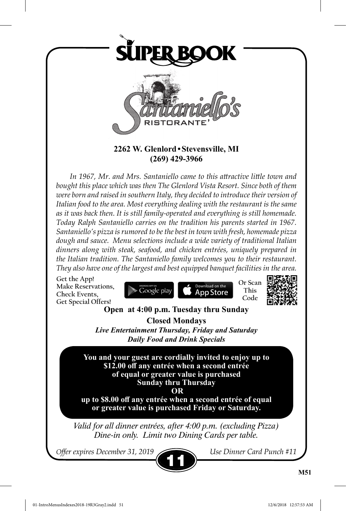

**2262 W. Glenlord•Stevensville, MI (269) 429-3966**

*In 1967, Mr. and Mrs. Santaniello came to this attractive little town and bought this place which was then The Glenlord Vista Resort. Since both of them were born and raised in southern Italy, they decided to introduce their version of Italian food to the area. Most everything dealing with the restaurant is the same as it was back then. It is still family-operated and everything is still homemade. Today Ralph Santaniello carries on the tradition his parents started in 1967. Santaniello's pizza is rumored to be the best in town with fresh, homemade pizza dough and sauce. Menu selections include a wide variety of traditional Italian dinners along with steak, seafood, and chicken entrées, uniquely prepared in the Italian tradition. The Santaniello family welcomes you to their restaurant. They also have one of the largest and best equipped banquet facilities in the area.*

**Get the App! Make Reservations, Check Events, Get Special Offers!**





# **Open at 4:00 p.m. Tuesday thru Sunday Closed Mondays**

*Live Entertainment Thursday, Friday and Saturday Daily Food and Drink Specials*

**You and your guest are cordially invited to enjoy up to \$12.00 off any entrée when a second entrée of equal or greater value is purchased Sunday thru Thursday**

 **OR** 

**up to \$8.00 off any entrée when a second entrée of equal or greater value is purchased Friday or Saturday.**

*Valid for all dinner entrées, after 4:00 p.m. (excluding Pizza) Dine-in only. Limit two Dining Cards per table.*

*Offer expires December 31, 2019 Use Dinner Card Punch #11*

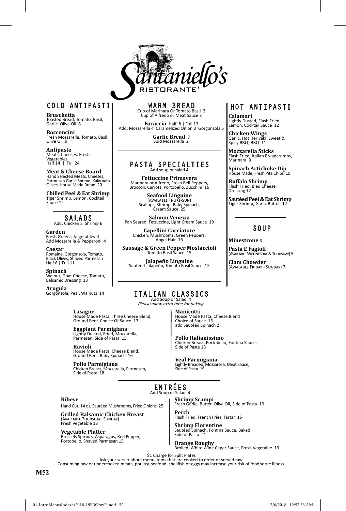

# COLD ANTIPASTI

**Bruschetta** Toasted Bread, Tomato, Basil, Garlic, Olive Oil 8

**Bocconcini** Fresh Mozzarella, Tomato, Basil, Olive Oil 9

**Antipasto** Meats, Cheeses, Fresh Vegetables Half 14 | Full 24

**Meat & Cheese Board** Hand Selected Meats, Cheeses, Parmesan Garlic Spread, Kalamata Olives, House Made Bread 20

**Chilled Peel & Eat Shrimp** Tiger Shrimp, Lemon, Cocktail Sauce 12

#### SALADS Add: Chicken 5 Shrimp 6

**Garden**<br>Fresh Greens, Vegetables 4<br>Add Mozzarella & Pepperoni 4

**Caesar**<br>Romaine, Gorgonzola, Tomato,<br>Black Olives, Shaved Parmesan<br>Half 6 | Full 11

**Spinach** Walnut, Goat Cheese, Tomato, Balsamic Dressing 13

#### **Arugula**  Gorgonzola, Pear, Walnuts 14

**Lasagne** House Made Pasta, Three Cheese Blend, Ground Beef, Choice Of Sauce 17

**Eggplant Parmigiana** Lightly Dusted, Fried, Mozzarella, Parmesan, Side of Pasta 15

**Ravioli** House Made Pasta, Cheese Blend, Ground Beef, Baby Spinach 16

**Pollo Parmigiana** Chicken Breast, Mozzarella, Parmesan, Side of Pasta 18

# WARM BREAD<br>Cup of Marinara Or Tomato Basil 2<br>Cup of Alfredo or Meat Sauce 3

**Focaccia** Half 8 | Full 13 Add: Mozzarella 4 Caramelized Onion 3 Gorgonzola 5

**Garlic Bread** 7 Add Mozzarella 2

# PASTA SPECIALTIES

**Fettuccine Primavera**  Marinara or Alfredo, Fresh Bell Peppers, Broccoli, Carrots, Portobello, Zucchini 16

> **Seafood Linguine** (Available Thurs-Sun) Scallops, Shrimp, Baby Spinach, Cream Sauce 25

**Salmon Venezia**  Pan Seared, Fettuccine, Light Cream Sauce 19

**Capellini Cacciatore** Chicken, Mushrooms, Green Peppers, Angel Hair 16

**Sausage & Green Pepper Mostaccioli** Tomato Basil Sauce 15

**Jalapeño Linguine** Sautéed Jalapeño, Tomato Basil Sauce 15

# HOT ANTIPASTI

**Calamari** Lightly Dusted, Flash Fried, Lemon, Cocktail Sauce 12

**Chicken Wings** Garlic, Hot, Teriyaki, Sweet & Spicy BBQ, BBQ 11

**Mozzarella Sticks** Flash Fried, Italian Breadcrumbs, Marinara 9

**Spinach Artichoke Dip**<br>House Made, Fresh Pita Chins, 10 house Made, Fresh Pita Chips

**Buffalo Shrimp** Flash Fried, Bleu Cheese Dressing 12

**Sautéed Peel & Eat Shrimp** Tiger Shrimp, Garlic Butter 12

### **SOUP**

**Minestrone** 6

**Pasta E Fagioli** (Available Wednesday & Thursday) 5

**Clam Chowder** (Available Friday - Sunday) 7

# ITALIAN CLASSICS

Please allow extra time for baking.

**Manicotti** House Made Pasta, Cheese Blend Choice of Sauce 16 add Sautéed Spinach 2

**Pollo Italianissimo** Chicken Breast, Portobello, Fontina Sauce, Side of Pasta 18

**Veal Parmigiana**  Lightly Breaded, Mozzarella, Meat Sauce, Side of Pasta 19

#### ENTRÉES Add Soup or Salad 4

#### **Ribeye**

Hand Cut, 14 oz, Sautéed Mushrooms, Fried Onions 25

**Grilled Balsamic Chicken Breast**  (Available Thursday -Sunday) Fresh Vegetable 18

**Vegetable Platter** Brussels Sprouts, Asparagus, Red Pepper, Portobello, Shaved Parmesan 15 **Shrimp Scampi** Fresh Garlic, Butter, Olive Oil, Side of Pasta 19

**Perch** Flash Fried, French Fries, Tartar 15

**Shrimp Florentine** Sautéed Spinach, Fontina Sauce, Baked, Side of Pasta 21

**Orange Roughy** Broiled, White Wine Caper Sauce, Fresh Vegetable 19

\$1 Charge for Split Plates<br>Ask your server about menu items that are cooked to order or served raw.<br>Consuming raw or undercooked meats, poultry, seafood, shellfish or eggs may increase your risk of foodborne illness.